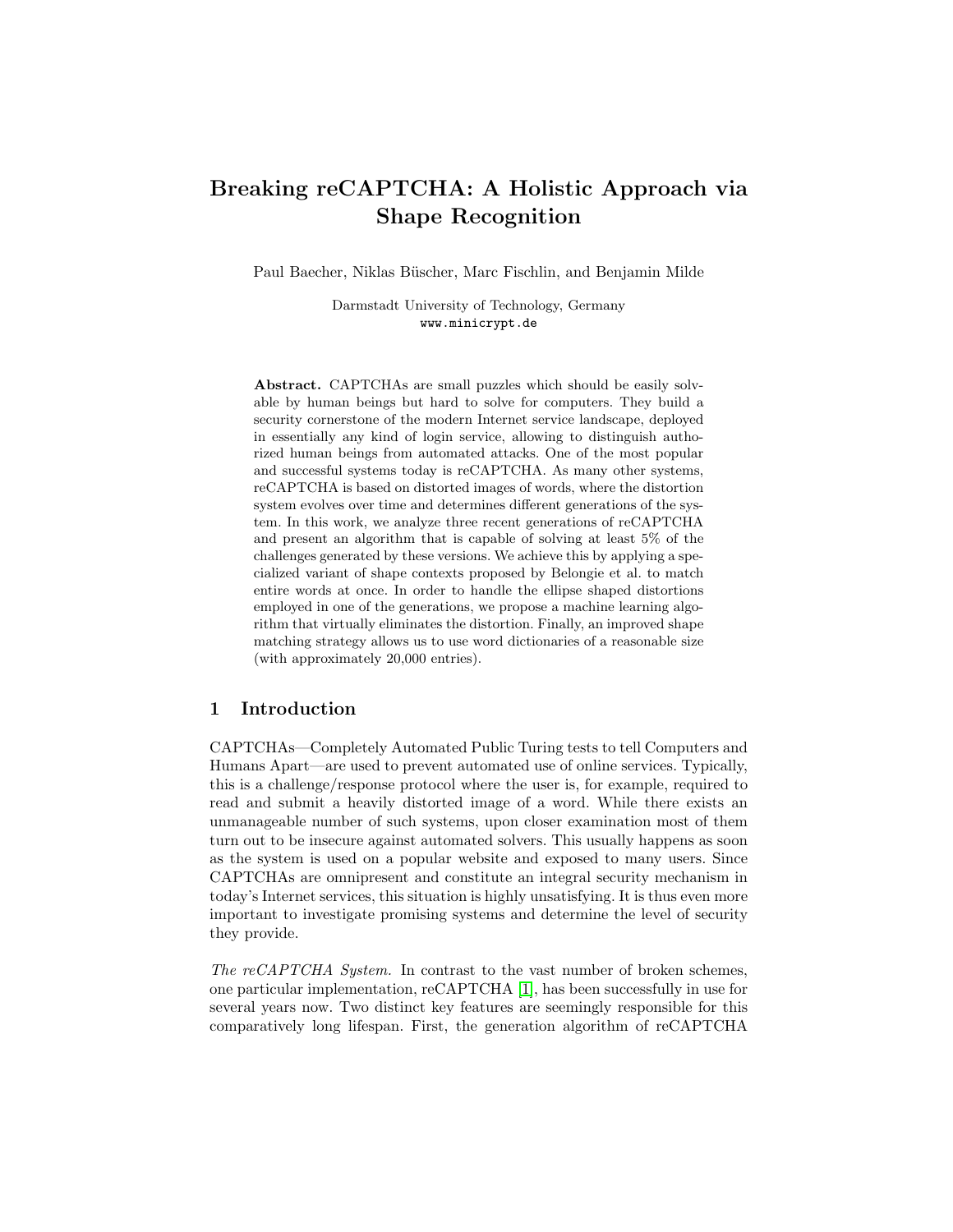# <span id="page-0-0"></span>Breaking reCAPTCHA: A Holistic Approach via Shape Recognition

Paul Baecher, Niklas Büscher, Marc Fischlin, and Benjamin Milde

Darmstadt University of Technology, Germany www.minicrypt.de

Abstract. CAPTCHAs are small puzzles which should be easily solvable by human beings but hard to solve for computers. They build a security cornerstone of the modern Internet service landscape, deployed in essentially any kind of login service, allowing to distinguish authorized human beings from automated attacks. One of the most popular and successful systems today is reCAPTCHA. As many other systems, reCAPTCHA is based on distorted images of words, where the distortion system evolves over time and determines different generations of the system. In this work, we analyze three recent generations of reCAPTCHA and present an algorithm that is capable of solving at least 5% of the challenges generated by these versions. We achieve this by applying a specialized variant of shape contexts proposed by Belongie et al. to match entire words at once. In order to handle the ellipse shaped distortions employed in one of the generations, we propose a machine learning algorithm that virtually eliminates the distortion. Finally, an improved shape matching strategy allows us to use word dictionaries of a reasonable size (with approximately 20,000 entries).

## 1 Introduction

CAPTCHAs—Completely Automated Public Turing tests to tell Computers and Humans Apart—are used to prevent automated use of online services. Typically, this is a challenge/response protocol where the user is, for example, required to read and submit a heavily distorted image of a word. While there exists an unmanageable number of such systems, upon closer examination most of them turn out to be insecure against automated solvers. This usually happens as soon as the system is used on a popular website and exposed to many users. Since CAPTCHAs are omnipresent and constitute an integral security mechanism in today's Internet services, this situation is highly unsatisfying. It is thus even more important to investigate promising systems and determine the level of security they provide.

The reCAPTCHA System. In contrast to the vast number of broken schemes, one particular implementation, reCAPTCHA [\[1\]](#page-10-0), has been successfully in use for several years now. Two distinct key features are seemingly responsible for this comparatively long lifespan. First, the generation algorithm of reCAPTCHA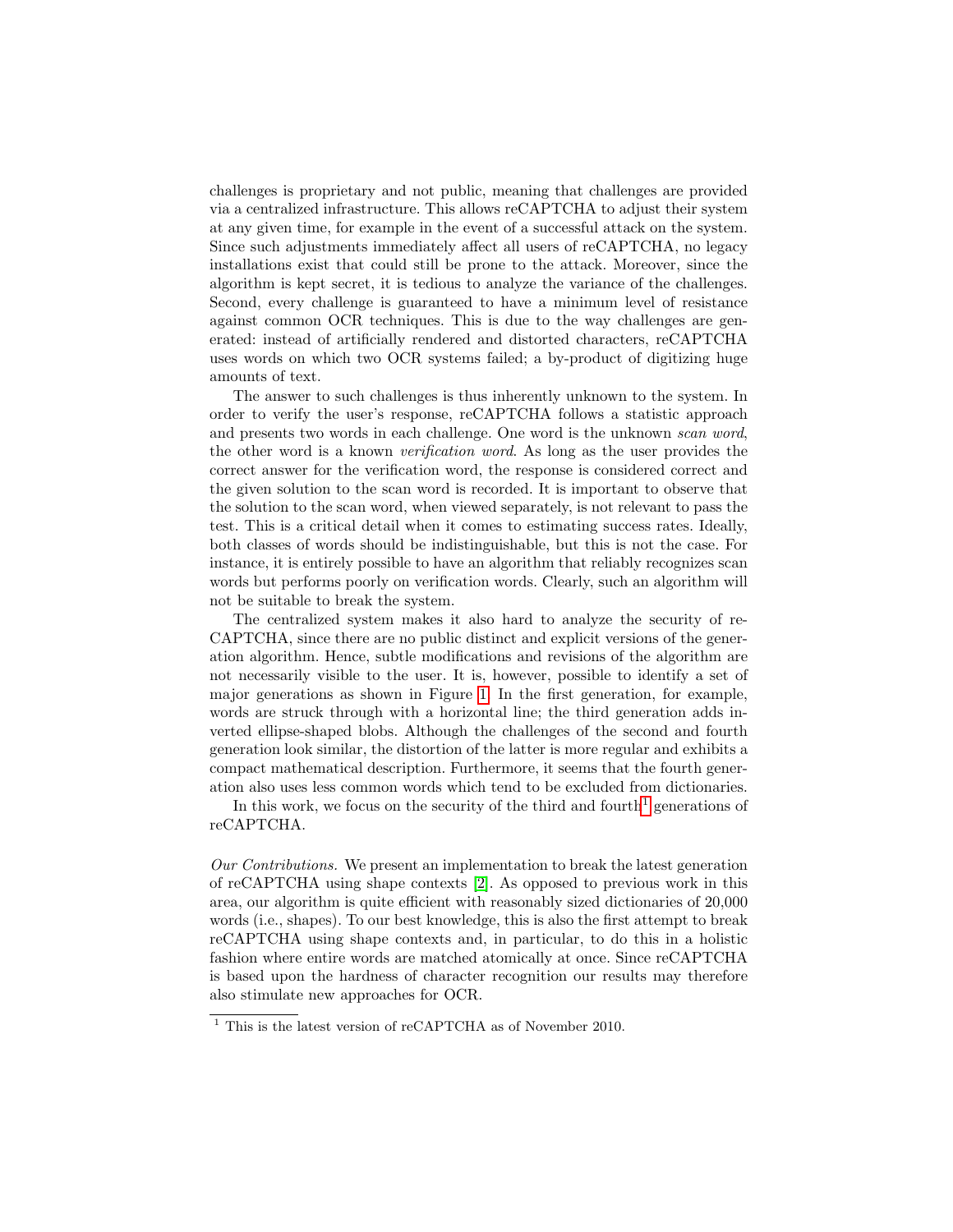<span id="page-1-1"></span>challenges is proprietary and not public, meaning that challenges are provided via a centralized infrastructure. This allows reCAPTCHA to adjust their system at any given time, for example in the event of a successful attack on the system. Since such adjustments immediately affect all users of reCAPTCHA, no legacy installations exist that could still be prone to the attack. Moreover, since the algorithm is kept secret, it is tedious to analyze the variance of the challenges. Second, every challenge is guaranteed to have a minimum level of resistance against common OCR techniques. This is due to the way challenges are generated: instead of artificially rendered and distorted characters, reCAPTCHA uses words on which two OCR systems failed; a by-product of digitizing huge amounts of text.

The answer to such challenges is thus inherently unknown to the system. In order to verify the user's response, reCAPTCHA follows a statistic approach and presents two words in each challenge. One word is the unknown scan word, the other word is a known verification word. As long as the user provides the correct answer for the verification word, the response is considered correct and the given solution to the scan word is recorded. It is important to observe that the solution to the scan word, when viewed separately, is not relevant to pass the test. This is a critical detail when it comes to estimating success rates. Ideally, both classes of words should be indistinguishable, but this is not the case. For instance, it is entirely possible to have an algorithm that reliably recognizes scan words but performs poorly on verification words. Clearly, such an algorithm will not be suitable to break the system.

The centralized system makes it also hard to analyze the security of re-CAPTCHA, since there are no public distinct and explicit versions of the generation algorithm. Hence, subtle modifications and revisions of the algorithm are not necessarily visible to the user. It is, however, possible to identify a set of major generations as shown in Figure [1.](#page-2-0) In the first generation, for example, words are struck through with a horizontal line; the third generation adds inverted ellipse-shaped blobs. Although the challenges of the second and fourth generation look similar, the distortion of the latter is more regular and exhibits a compact mathematical description. Furthermore, it seems that the fourth generation also uses less common words which tend to be excluded from dictionaries.

In this work, we focus on the security of the third and fourth<sup>[1](#page-1-0)</sup> generations of reCAPTCHA.

Our Contributions. We present an implementation to break the latest generation of reCAPTCHA using shape contexts [\[2\]](#page-11-0). As opposed to previous work in this area, our algorithm is quite efficient with reasonably sized dictionaries of 20,000 words (i.e., shapes). To our best knowledge, this is also the first attempt to break reCAPTCHA using shape contexts and, in particular, to do this in a holistic fashion where entire words are matched atomically at once. Since reCAPTCHA is based upon the hardness of character recognition our results may therefore also stimulate new approaches for OCR.

<span id="page-1-0"></span> $1$  This is the latest version of reCAPTCHA as of November 2010.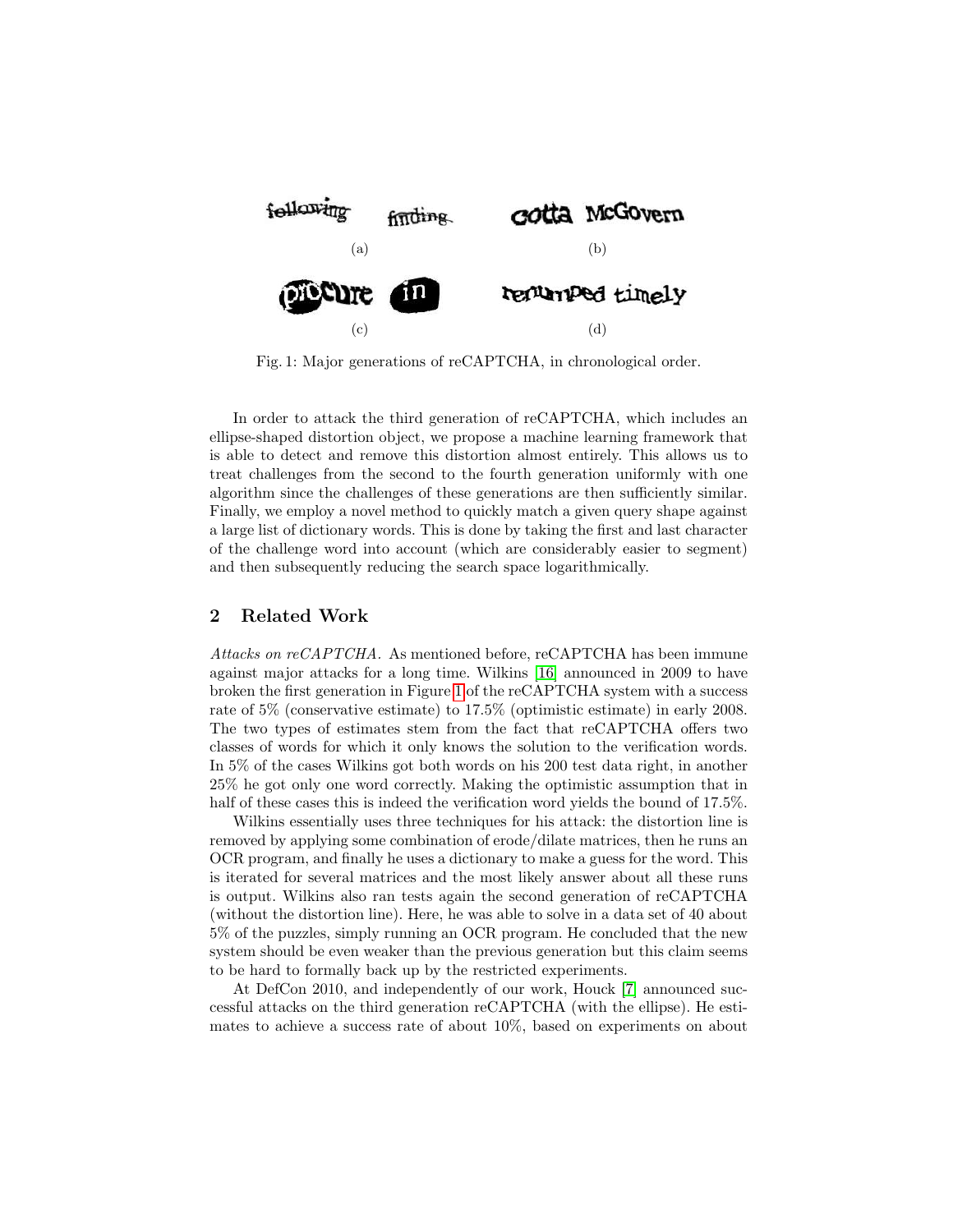<span id="page-2-3"></span><span id="page-2-1"></span><span id="page-2-0"></span>

Fig. 1: Major generations of reCAPTCHA, in chronological order.

In order to attack the third generation of reCAPTCHA, which includes an ellipse-shaped distortion object, we propose a machine learning framework that is able to detect and remove this distortion almost entirely. This allows us to treat challenges from the second to the fourth generation uniformly with one algorithm since the challenges of these generations are then sufficiently similar. Finally, we employ a novel method to quickly match a given query shape against a large list of dictionary words. This is done by taking the first and last character of the challenge word into account (which are considerably easier to segment) and then subsequently reducing the search space logarithmically.

# <span id="page-2-2"></span>2 Related Work

Attacks on reCAPTCHA. As mentioned before, reCAPTCHA has been immune against major attacks for a long time. Wilkins [\[16\]](#page-11-1) announced in 2009 to have broken the first generation in Figure [1](#page-2-0) of the reCAPTCHA system with a success rate of 5% (conservative estimate) to 17.5% (optimistic estimate) in early 2008. The two types of estimates stem from the fact that reCAPTCHA offers two classes of words for which it only knows the solution to the verification words. In 5% of the cases Wilkins got both words on his 200 test data right, in another 25% he got only one word correctly. Making the optimistic assumption that in half of these cases this is indeed the verification word yields the bound of 17.5%.

Wilkins essentially uses three techniques for his attack: the distortion line is removed by applying some combination of erode/dilate matrices, then he runs an OCR program, and finally he uses a dictionary to make a guess for the word. This is iterated for several matrices and the most likely answer about all these runs is output. Wilkins also ran tests again the second generation of reCAPTCHA (without the distortion line). Here, he was able to solve in a data set of 40 about 5% of the puzzles, simply running an OCR program. He concluded that the new system should be even weaker than the previous generation but this claim seems to be hard to formally back up by the restricted experiments.

At DefCon 2010, and independently of our work, Houck [\[7\]](#page-11-2) announced successful attacks on the third generation reCAPTCHA (with the ellipse). He estimates to achieve a success rate of about 10%, based on experiments on about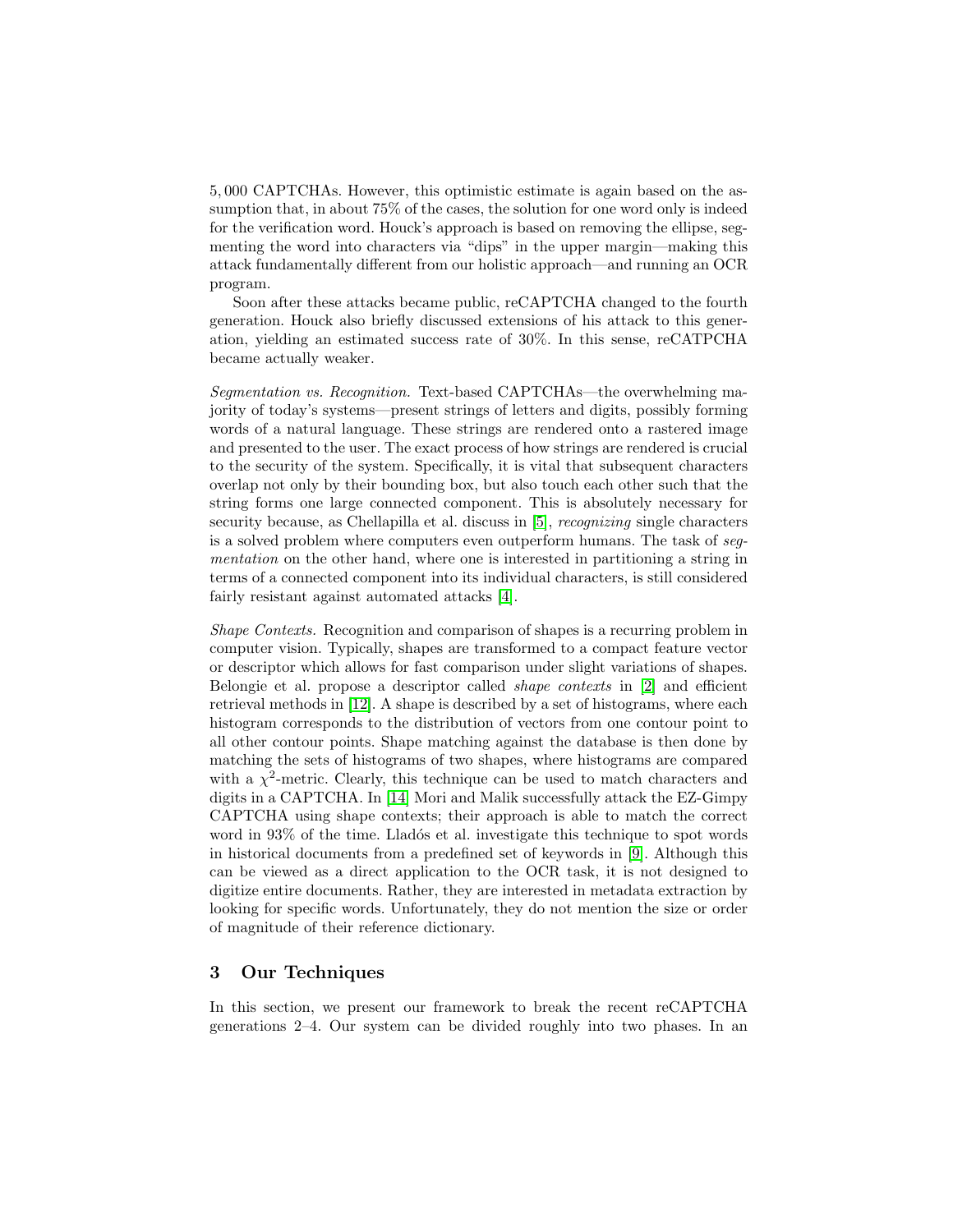<span id="page-3-0"></span>5, 000 CAPTCHAs. However, this optimistic estimate is again based on the assumption that, in about 75% of the cases, the solution for one word only is indeed for the verification word. Houck's approach is based on removing the ellipse, segmenting the word into characters via "dips" in the upper margin—making this attack fundamentally different from our holistic approach—and running an OCR program.

Soon after these attacks became public, reCAPTCHA changed to the fourth generation. Houck also briefly discussed extensions of his attack to this generation, yielding an estimated success rate of 30%. In this sense, reCATPCHA became actually weaker.

Segmentation vs. Recognition. Text-based CAPTCHAs—the overwhelming majority of today's systems—present strings of letters and digits, possibly forming words of a natural language. These strings are rendered onto a rastered image and presented to the user. The exact process of how strings are rendered is crucial to the security of the system. Specifically, it is vital that subsequent characters overlap not only by their bounding box, but also touch each other such that the string forms one large connected component. This is absolutely necessary for security because, as Chellapilla et al. discuss in [\[5\]](#page-11-3), *recognizing* single characters is a solved problem where computers even outperform humans. The task of segmentation on the other hand, where one is interested in partitioning a string in terms of a connected component into its individual characters, is still considered fairly resistant against automated attacks [\[4\]](#page-11-4).

Shape Contexts. Recognition and comparison of shapes is a recurring problem in computer vision. Typically, shapes are transformed to a compact feature vector or descriptor which allows for fast comparison under slight variations of shapes. Belongie et al. propose a descriptor called shape contexts in [\[2\]](#page-11-0) and efficient retrieval methods in [\[12\]](#page-11-5). A shape is described by a set of histograms, where each histogram corresponds to the distribution of vectors from one contour point to all other contour points. Shape matching against the database is then done by matching the sets of histograms of two shapes, where histograms are compared with a  $\chi^2$ -metric. Clearly, this technique can be used to match characters and digits in a CAPTCHA. In [\[14\]](#page-11-6) Mori and Malik successfully attack the EZ-Gimpy CAPTCHA using shape contexts; their approach is able to match the correct word in 93% of the time. Lladós et al. investigate this technique to spot words in historical documents from a predefined set of keywords in [\[9\]](#page-11-7). Although this can be viewed as a direct application to the OCR task, it is not designed to digitize entire documents. Rather, they are interested in metadata extraction by looking for specific words. Unfortunately, they do not mention the size or order of magnitude of their reference dictionary.

## 3 Our Techniques

In this section, we present our framework to break the recent reCAPTCHA generations 2–4. Our system can be divided roughly into two phases. In an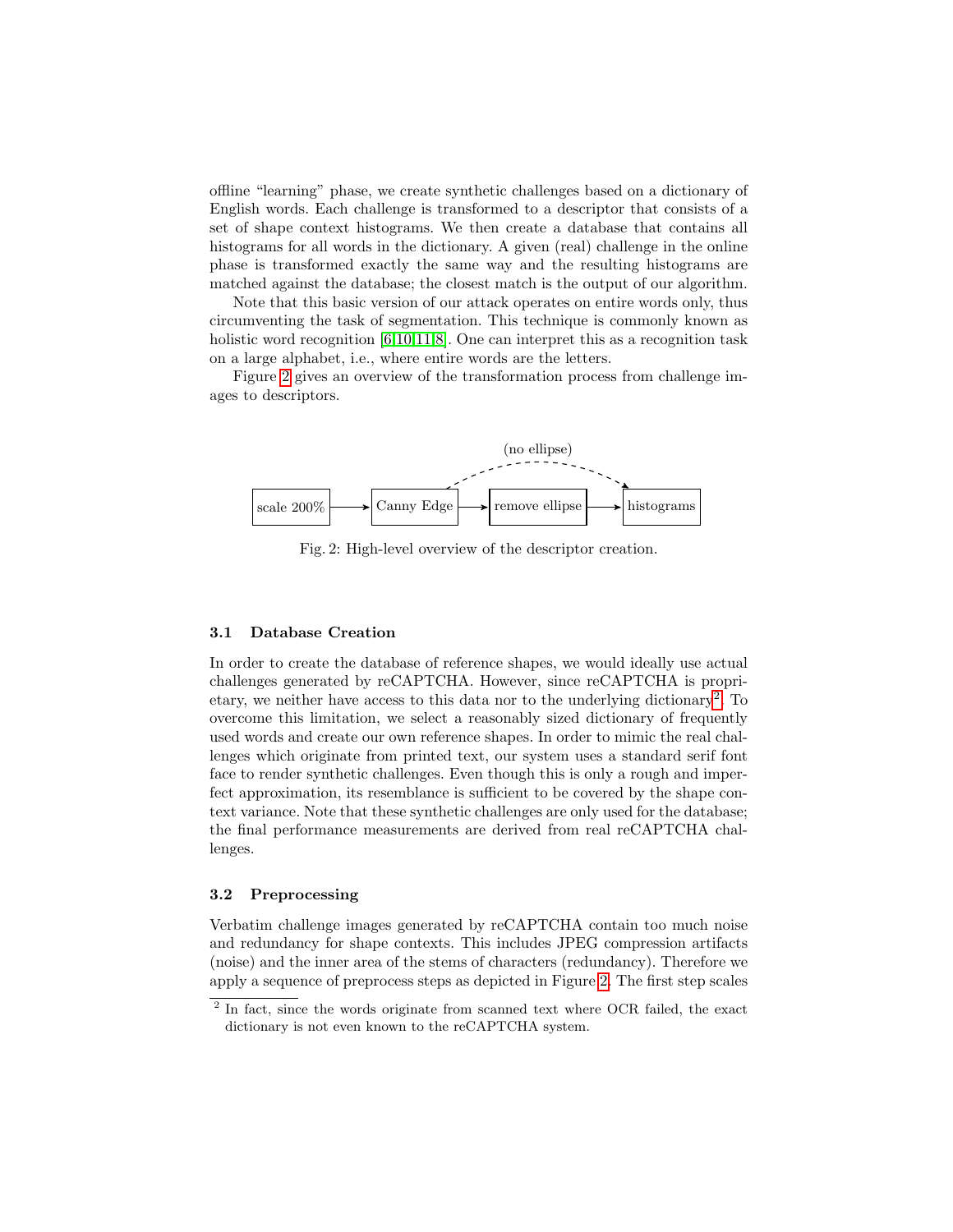<span id="page-4-2"></span>offline "learning" phase, we create synthetic challenges based on a dictionary of English words. Each challenge is transformed to a descriptor that consists of a set of shape context histograms. We then create a database that contains all histograms for all words in the dictionary. A given (real) challenge in the online phase is transformed exactly the same way and the resulting histograms are matched against the database; the closest match is the output of our algorithm.

Note that this basic version of our attack operates on entire words only, thus circumventing the task of segmentation. This technique is commonly known as holistic word recognition [\[6,](#page-11-8)[10,](#page-11-9)[11,](#page-11-10)[8\]](#page-11-11). One can interpret this as a recognition task on a large alphabet, i.e., where entire words are the letters.

Figure [2](#page-4-0) gives an overview of the transformation process from challenge images to descriptors.

<span id="page-4-0"></span>

Fig. 2: High-level overview of the descriptor creation.

#### 3.1 Database Creation

In order to create the database of reference shapes, we would ideally use actual challenges generated by reCAPTCHA. However, since reCAPTCHA is propri-etary, we neither have access to this data nor to the underlying dictionary<sup>[2](#page-4-1)</sup>. To overcome this limitation, we select a reasonably sized dictionary of frequently used words and create our own reference shapes. In order to mimic the real challenges which originate from printed text, our system uses a standard serif font face to render synthetic challenges. Even though this is only a rough and imperfect approximation, its resemblance is sufficient to be covered by the shape context variance. Note that these synthetic challenges are only used for the database; the final performance measurements are derived from real reCAPTCHA challenges.

#### 3.2 Preprocessing

Verbatim challenge images generated by reCAPTCHA contain too much noise and redundancy for shape contexts. This includes JPEG compression artifacts (noise) and the inner area of the stems of characters (redundancy). Therefore we apply a sequence of preprocess steps as depicted in Figure [2.](#page-4-0) The first step scales

<span id="page-4-1"></span><sup>&</sup>lt;sup>2</sup> In fact, since the words originate from scanned text where OCR failed, the exact dictionary is not even known to the reCAPTCHA system.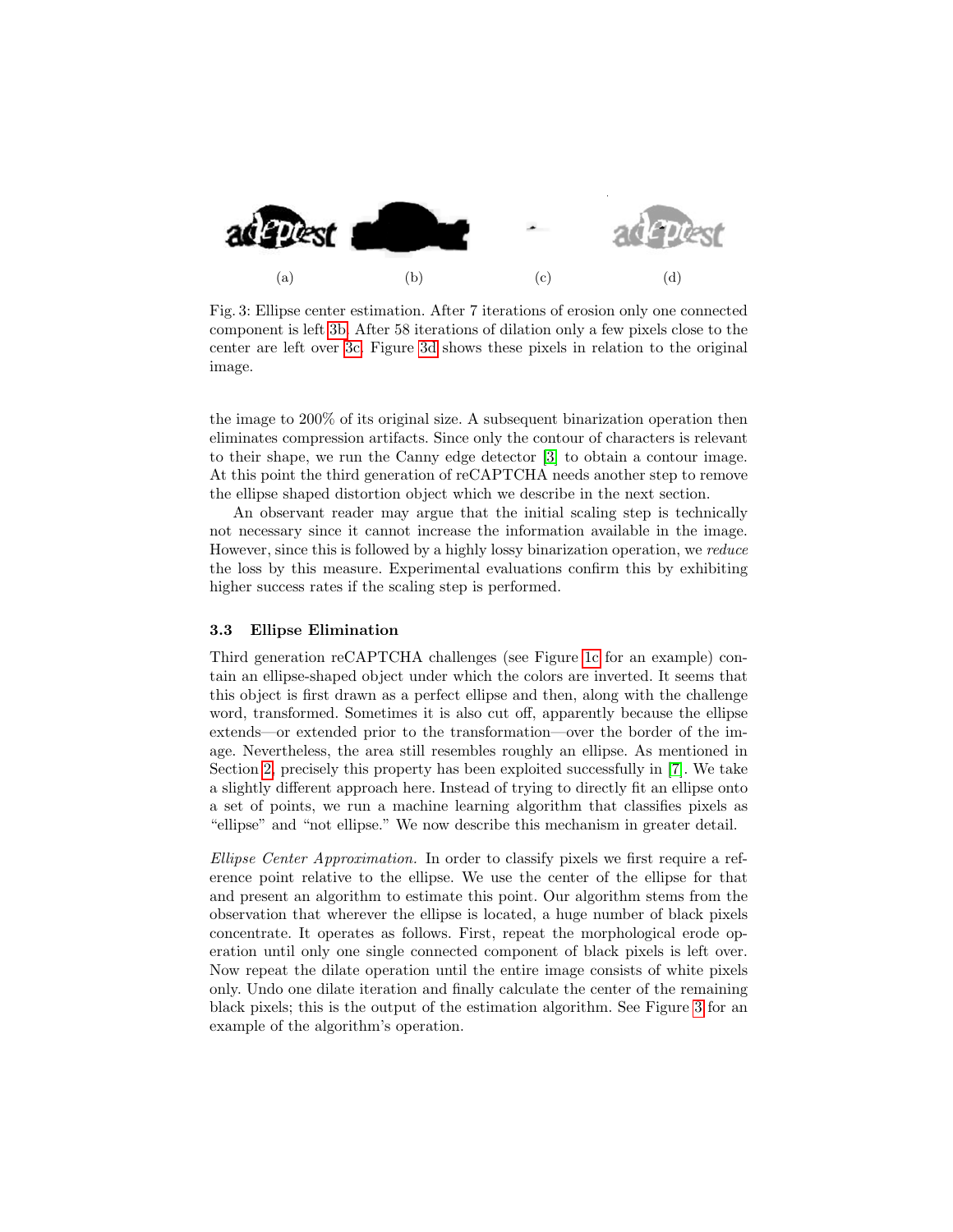<span id="page-5-4"></span><span id="page-5-3"></span><span id="page-5-2"></span><span id="page-5-1"></span><span id="page-5-0"></span>

Fig. 3: Ellipse center estimation. After 7 iterations of erosion only one connected component is left [3b.](#page-5-0) After 58 iterations of dilation only a few pixels close to the center are left over [3c.](#page-5-1) Figure [3d](#page-5-2) shows these pixels in relation to the original image.

the image to 200% of its original size. A subsequent binarization operation then eliminates compression artifacts. Since only the contour of characters is relevant to their shape, we run the Canny edge detector [\[3\]](#page-11-12) to obtain a contour image. At this point the third generation of reCAPTCHA needs another step to remove the ellipse shaped distortion object which we describe in the next section.

An observant reader may argue that the initial scaling step is technically not necessary since it cannot increase the information available in the image. However, since this is followed by a highly lossy binarization operation, we reduce the loss by this measure. Experimental evaluations confirm this by exhibiting higher success rates if the scaling step is performed.

#### 3.3 Ellipse Elimination

Third generation reCAPTCHA challenges (see Figure [1c](#page-2-1) for an example) contain an ellipse-shaped object under which the colors are inverted. It seems that this object is first drawn as a perfect ellipse and then, along with the challenge word, transformed. Sometimes it is also cut off, apparently because the ellipse extends—or extended prior to the transformation—over the border of the image. Nevertheless, the area still resembles roughly an ellipse. As mentioned in Section [2,](#page-2-2) precisely this property has been exploited successfully in [\[7\]](#page-11-2). We take a slightly different approach here. Instead of trying to directly fit an ellipse onto a set of points, we run a machine learning algorithm that classifies pixels as "ellipse" and "not ellipse." We now describe this mechanism in greater detail.

Ellipse Center Approximation. In order to classify pixels we first require a reference point relative to the ellipse. We use the center of the ellipse for that and present an algorithm to estimate this point. Our algorithm stems from the observation that wherever the ellipse is located, a huge number of black pixels concentrate. It operates as follows. First, repeat the morphological erode operation until only one single connected component of black pixels is left over. Now repeat the dilate operation until the entire image consists of white pixels only. Undo one dilate iteration and finally calculate the center of the remaining black pixels; this is the output of the estimation algorithm. See Figure [3](#page-5-3) for an example of the algorithm's operation.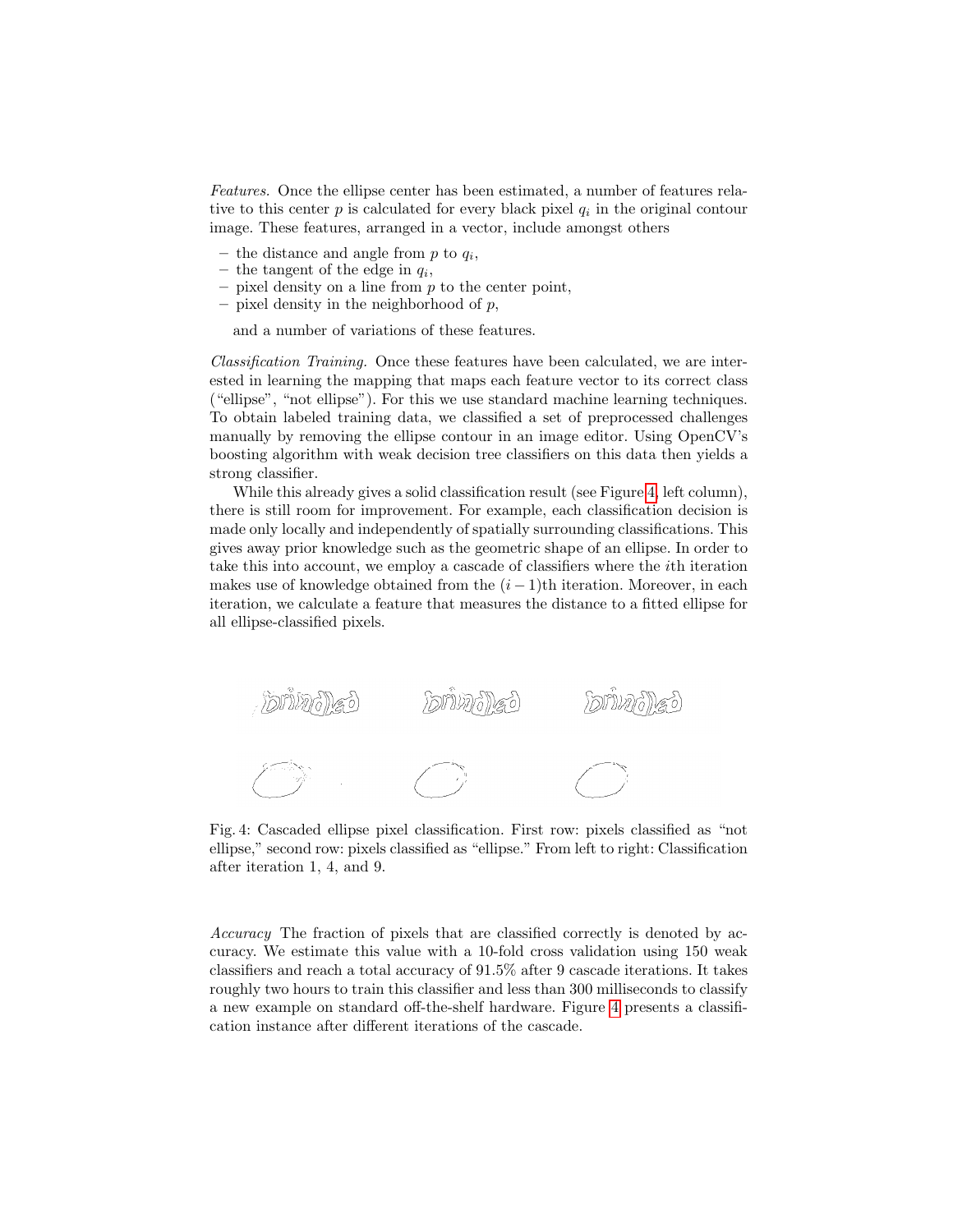Features. Once the ellipse center has been estimated, a number of features relative to this center  $p$  is calculated for every black pixel  $q_i$  in the original contour image. These features, arranged in a vector, include amongst others

- the distance and angle from  $p$  to  $q_i$ ,
- the tangent of the edge in  $q_i$ ,
- $-$  pixel density on a line from  $p$  to the center point,
- $-$  pixel density in the neighborhood of  $p$ ,

and a number of variations of these features.

Classification Training. Once these features have been calculated, we are interested in learning the mapping that maps each feature vector to its correct class ("ellipse", "not ellipse"). For this we use standard machine learning techniques. To obtain labeled training data, we classified a set of preprocessed challenges manually by removing the ellipse contour in an image editor. Using OpenCV's boosting algorithm with weak decision tree classifiers on this data then yields a strong classifier.

While this already gives a solid classification result (see Figure [4,](#page-6-0) left column), there is still room for improvement. For example, each classification decision is made only locally and independently of spatially surrounding classifications. This gives away prior knowledge such as the geometric shape of an ellipse. In order to take this into account, we employ a cascade of classifiers where the ith iteration makes use of knowledge obtained from the  $(i - 1)$ th iteration. Moreover, in each iteration, we calculate a feature that measures the distance to a fitted ellipse for all ellipse-classified pixels.

<span id="page-6-0"></span>

Fig. 4: Cascaded ellipse pixel classification. First row: pixels classified as "not ellipse," second row: pixels classified as "ellipse." From left to right: Classification after iteration 1, 4, and 9.

Accuracy The fraction of pixels that are classified correctly is denoted by accuracy. We estimate this value with a 10-fold cross validation using 150 weak classifiers and reach a total accuracy of 91.5% after 9 cascade iterations. It takes roughly two hours to train this classifier and less than 300 milliseconds to classify a new example on standard off-the-shelf hardware. Figure [4](#page-6-0) presents a classification instance after different iterations of the cascade.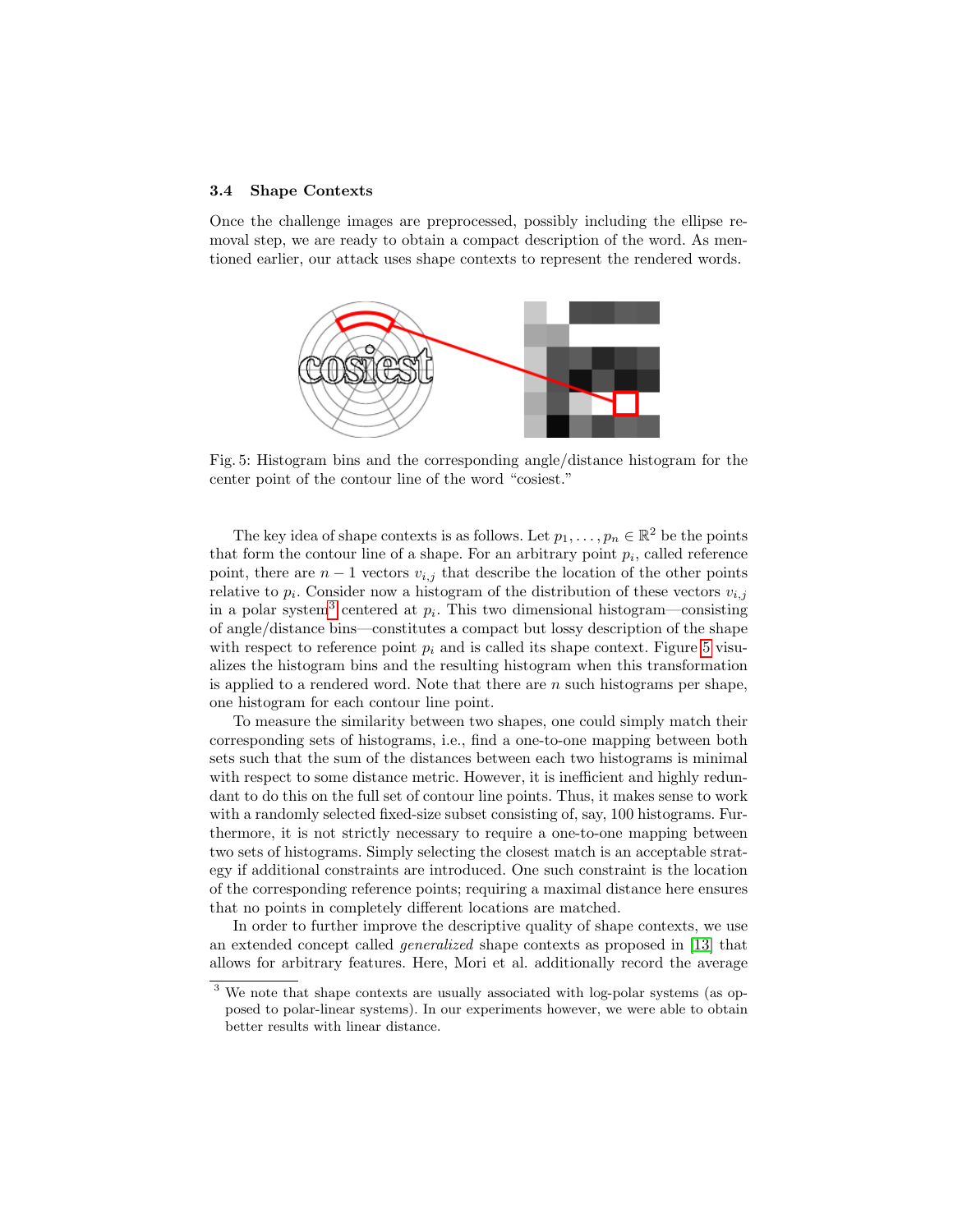#### <span id="page-7-2"></span>3.4 Shape Contexts

Once the challenge images are preprocessed, possibly including the ellipse removal step, we are ready to obtain a compact description of the word. As mentioned earlier, our attack uses shape contexts to represent the rendered words.

<span id="page-7-1"></span>

Fig. 5: Histogram bins and the corresponding angle/distance histogram for the center point of the contour line of the word "cosiest."

The key idea of shape contexts is as follows. Let  $p_1, \ldots, p_n \in \mathbb{R}^2$  be the points that form the contour line of a shape. For an arbitrary point  $p_i$ , called reference point, there are  $n-1$  vectors  $v_{i,j}$  that describe the location of the other points relative to  $p_i$ . Consider now a histogram of the distribution of these vectors  $v_{i,j}$ in a polar system<sup>[3](#page-7-0)</sup> centered at  $p_i$ . This two dimensional histogram—consisting of angle/distance bins—constitutes a compact but lossy description of the shape with respect to reference point  $p_i$  and is called its shape context. Figure [5](#page-7-1) visualizes the histogram bins and the resulting histogram when this transformation is applied to a rendered word. Note that there are  $n$  such histograms per shape, one histogram for each contour line point.

To measure the similarity between two shapes, one could simply match their corresponding sets of histograms, i.e., find a one-to-one mapping between both sets such that the sum of the distances between each two histograms is minimal with respect to some distance metric. However, it is inefficient and highly redundant to do this on the full set of contour line points. Thus, it makes sense to work with a randomly selected fixed-size subset consisting of, say, 100 histograms. Furthermore, it is not strictly necessary to require a one-to-one mapping between two sets of histograms. Simply selecting the closest match is an acceptable strategy if additional constraints are introduced. One such constraint is the location of the corresponding reference points; requiring a maximal distance here ensures that no points in completely different locations are matched.

In order to further improve the descriptive quality of shape contexts, we use an extended concept called generalized shape contexts as proposed in [\[13\]](#page-11-13) that allows for arbitrary features. Here, Mori et al. additionally record the average

<span id="page-7-0"></span><sup>3</sup> We note that shape contexts are usually associated with log-polar systems (as opposed to polar-linear systems). In our experiments however, we were able to obtain better results with linear distance.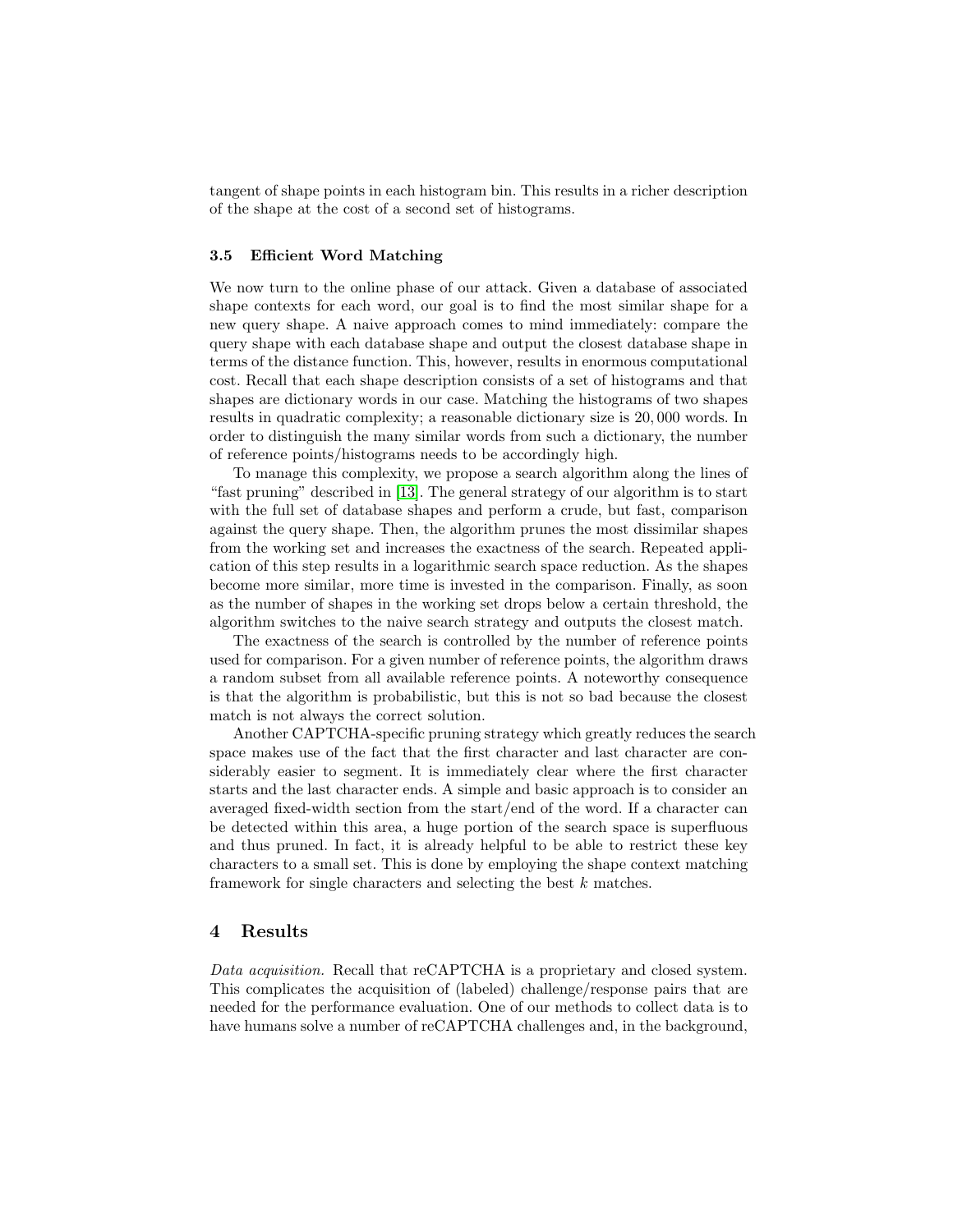<span id="page-8-0"></span>tangent of shape points in each histogram bin. This results in a richer description of the shape at the cost of a second set of histograms.

### 3.5 Efficient Word Matching

We now turn to the online phase of our attack. Given a database of associated shape contexts for each word, our goal is to find the most similar shape for a new query shape. A naive approach comes to mind immediately: compare the query shape with each database shape and output the closest database shape in terms of the distance function. This, however, results in enormous computational cost. Recall that each shape description consists of a set of histograms and that shapes are dictionary words in our case. Matching the histograms of two shapes results in quadratic complexity; a reasonable dictionary size is 20, 000 words. In order to distinguish the many similar words from such a dictionary, the number of reference points/histograms needs to be accordingly high.

To manage this complexity, we propose a search algorithm along the lines of "fast pruning" described in [\[13\]](#page-11-13). The general strategy of our algorithm is to start with the full set of database shapes and perform a crude, but fast, comparison against the query shape. Then, the algorithm prunes the most dissimilar shapes from the working set and increases the exactness of the search. Repeated application of this step results in a logarithmic search space reduction. As the shapes become more similar, more time is invested in the comparison. Finally, as soon as the number of shapes in the working set drops below a certain threshold, the algorithm switches to the naive search strategy and outputs the closest match.

The exactness of the search is controlled by the number of reference points used for comparison. For a given number of reference points, the algorithm draws a random subset from all available reference points. A noteworthy consequence is that the algorithm is probabilistic, but this is not so bad because the closest match is not always the correct solution.

Another CAPTCHA-specific pruning strategy which greatly reduces the search space makes use of the fact that the first character and last character are considerably easier to segment. It is immediately clear where the first character starts and the last character ends. A simple and basic approach is to consider an averaged fixed-width section from the start/end of the word. If a character can be detected within this area, a huge portion of the search space is superfluous and thus pruned. In fact, it is already helpful to be able to restrict these key characters to a small set. This is done by employing the shape context matching framework for single characters and selecting the best k matches.

## 4 Results

Data acquisition. Recall that reCAPTCHA is a proprietary and closed system. This complicates the acquisition of (labeled) challenge/response pairs that are needed for the performance evaluation. One of our methods to collect data is to have humans solve a number of reCAPTCHA challenges and, in the background,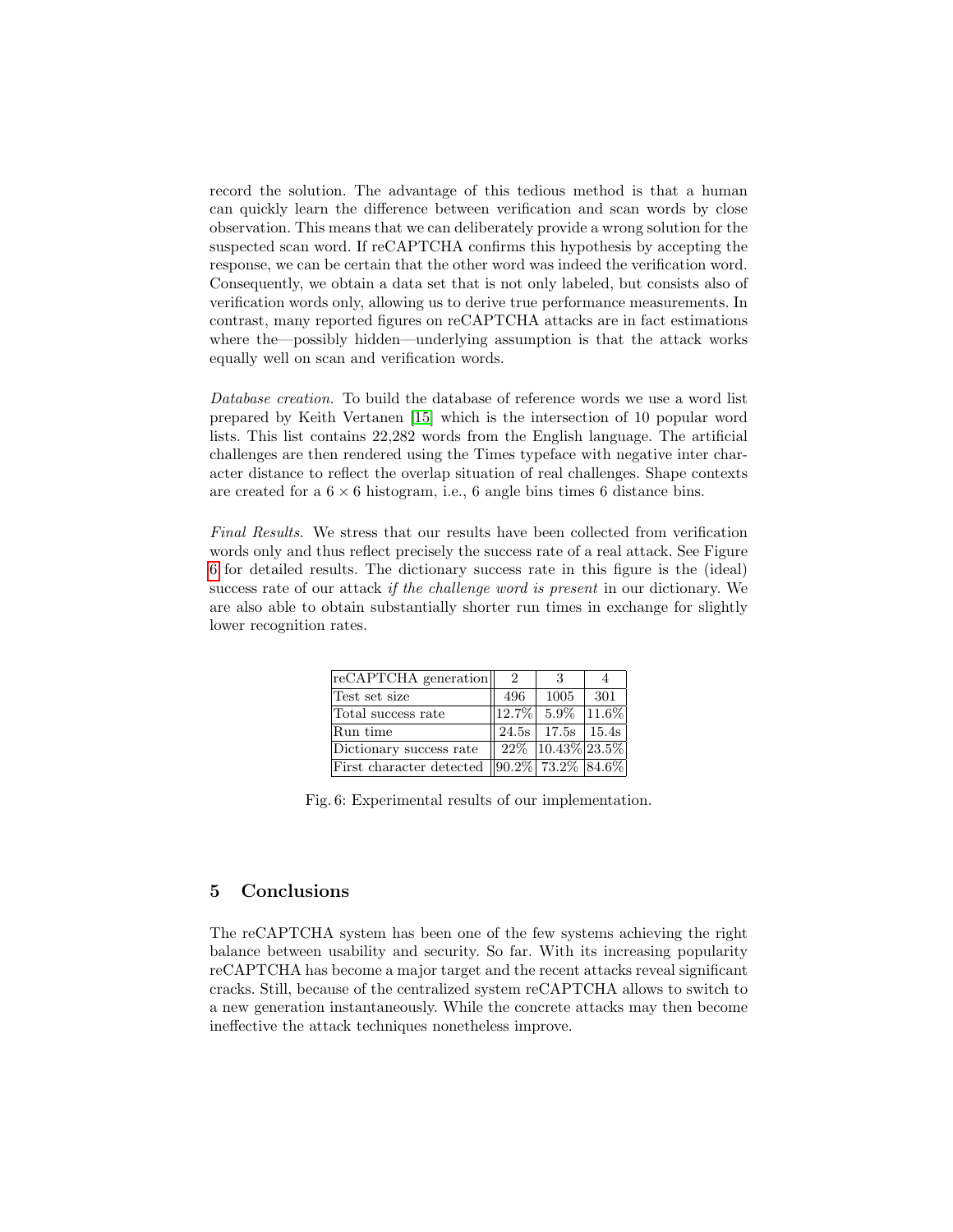<span id="page-9-1"></span>record the solution. The advantage of this tedious method is that a human can quickly learn the difference between verification and scan words by close observation. This means that we can deliberately provide a wrong solution for the suspected scan word. If reCAPTCHA confirms this hypothesis by accepting the response, we can be certain that the other word was indeed the verification word. Consequently, we obtain a data set that is not only labeled, but consists also of verification words only, allowing us to derive true performance measurements. In contrast, many reported figures on reCAPTCHA attacks are in fact estimations where the—possibly hidden—underlying assumption is that the attack works equally well on scan and verification words.

Database creation. To build the database of reference words we use a word list prepared by Keith Vertanen [\[15\]](#page-11-14) which is the intersection of 10 popular word lists. This list contains 22,282 words from the English language. The artificial challenges are then rendered using the Times typeface with negative inter character distance to reflect the overlap situation of real challenges. Shape contexts are created for a  $6 \times 6$  histogram, i.e., 6 angle bins times 6 distance bins.

Final Results. We stress that our results have been collected from verification words only and thus reflect precisely the success rate of a real attack. See Figure [6](#page-9-0) for detailed results. The dictionary success rate in this figure is the (ideal) success rate of our attack *if the challenge word is present* in our dictionary. We are also able to obtain substantially shorter run times in exchange for slightly lower recognition rates.

<span id="page-9-0"></span>

| $ref{recAPTCHA}$ generation                              | $\mathcal{D}$ | -3                               |     |
|----------------------------------------------------------|---------------|----------------------------------|-----|
| Test set size                                            | 496           | 1005                             | 301 |
| Total success rate                                       |               | $\ 12.7\% \  5.9\% \  11.6\% \ $ |     |
| Run time                                                 |               | $24.5s$   17.5s   15.4s          |     |
| Dictionary success rate                                  |               | $22\%$ 10.43\% 23.5\%            |     |
| First character detected $\ 90.2\% \ 73.2\% \ 84.6\% \ $ |               |                                  |     |

Fig. 6: Experimental results of our implementation.

# 5 Conclusions

The reCAPTCHA system has been one of the few systems achieving the right balance between usability and security. So far. With its increasing popularity reCAPTCHA has become a major target and the recent attacks reveal significant cracks. Still, because of the centralized system reCAPTCHA allows to switch to a new generation instantaneously. While the concrete attacks may then become ineffective the attack techniques nonetheless improve.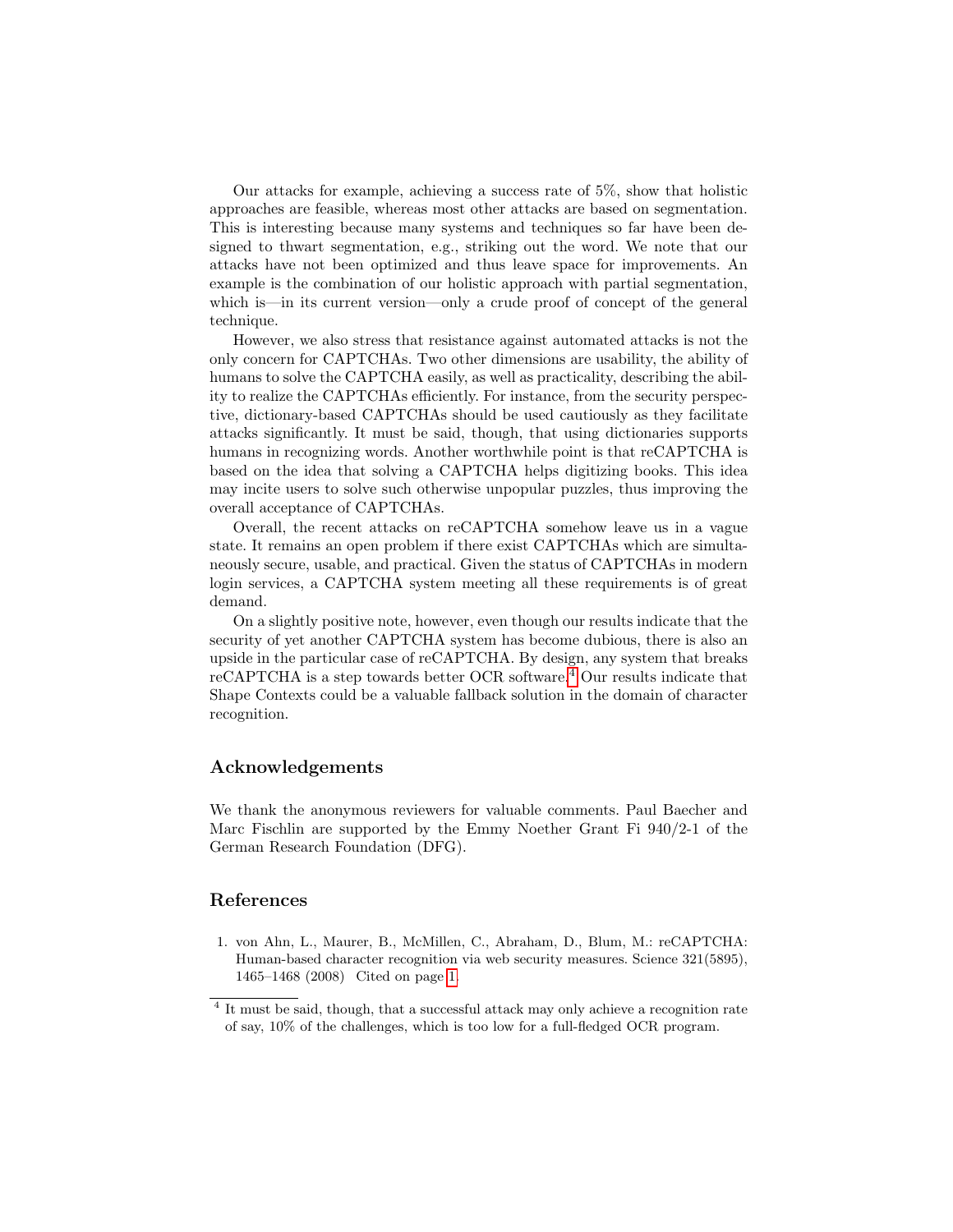Our attacks for example, achieving a success rate of 5%, show that holistic approaches are feasible, whereas most other attacks are based on segmentation. This is interesting because many systems and techniques so far have been designed to thwart segmentation, e.g., striking out the word. We note that our attacks have not been optimized and thus leave space for improvements. An example is the combination of our holistic approach with partial segmentation, which is—in its current version—only a crude proof of concept of the general technique.

However, we also stress that resistance against automated attacks is not the only concern for CAPTCHAs. Two other dimensions are usability, the ability of humans to solve the CAPTCHA easily, as well as practicality, describing the ability to realize the CAPTCHAs efficiently. For instance, from the security perspective, dictionary-based CAPTCHAs should be used cautiously as they facilitate attacks significantly. It must be said, though, that using dictionaries supports humans in recognizing words. Another worthwhile point is that reCAPTCHA is based on the idea that solving a CAPTCHA helps digitizing books. This idea may incite users to solve such otherwise unpopular puzzles, thus improving the overall acceptance of CAPTCHAs.

Overall, the recent attacks on reCAPTCHA somehow leave us in a vague state. It remains an open problem if there exist CAPTCHAs which are simultaneously secure, usable, and practical. Given the status of CAPTCHAs in modern login services, a CAPTCHA system meeting all these requirements is of great demand.

On a slightly positive note, however, even though our results indicate that the security of yet another CAPTCHA system has become dubious, there is also an upside in the particular case of reCAPTCHA. By design, any system that breaks reCAPTCHA is a step towards better OCR software.<sup>[4](#page-10-1)</sup> Our results indicate that Shape Contexts could be a valuable fallback solution in the domain of character recognition.

# Acknowledgements

We thank the anonymous reviewers for valuable comments. Paul Baecher and Marc Fischlin are supported by the Emmy Noether Grant Fi 940/2-1 of the German Research Foundation (DFG).

## References

<span id="page-10-0"></span>1. von Ahn, L., Maurer, B., McMillen, C., Abraham, D., Blum, M.: reCAPTCHA: Human-based character recognition via web security measures. Science 321(5895), 1465–1468 (2008) Cited on page [1.](#page-0-0)

<span id="page-10-1"></span><sup>&</sup>lt;sup>4</sup> It must be said, though, that a successful attack may only achieve a recognition rate of say, 10% of the challenges, which is too low for a full-fledged OCR program.